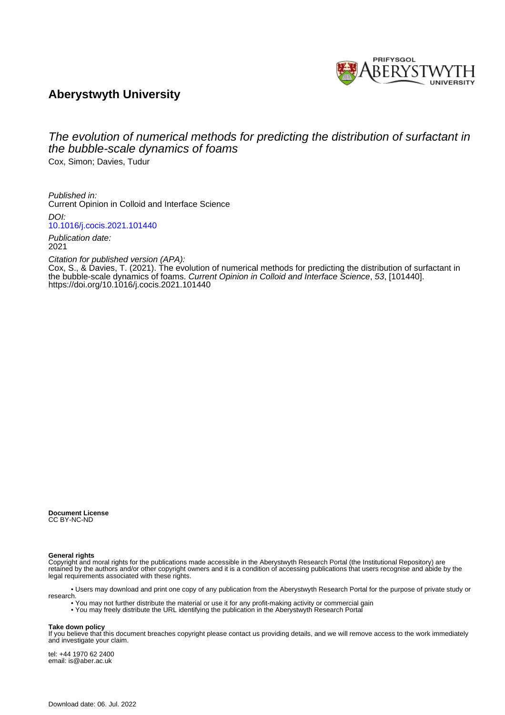

## **Aberystwyth University**

# The evolution of numerical methods for predicting the distribution of surfactant in the bubble-scale dynamics of foams

Cox, Simon; Davies, Tudur

Published in: Current Opinion in Colloid and Interface Science DOI:

[10.1016/j.cocis.2021.101440](https://doi.org/10.1016/j.cocis.2021.101440)

Publication date: 2021

Citation for published version (APA):

[Cox, S.](https://pure.aber.ac.uk/portal/en/persons/simon-cox(c034558d-5755-4006-8534-bda7eadfbd27).html)[, & Davies, T.](https://pure.aber.ac.uk/portal/en/persons/tudur-davies(eb7c2229-c4e7-4a72-81de-859feef757bb).html) (2021). [The evolution of numerical methods for predicting the distribution of surfactant in](https://pure.aber.ac.uk/portal/en/publications/the-evolution-of-numerical-methods-for-predicting-the-distribution-of-surfactant-in-the-bubblescale-dynamics-of-foams(57c15095-e156-4ddf-a9ed-7dddceaf798d).html) [the bubble-scale dynamics of foams.](https://pure.aber.ac.uk/portal/en/publications/the-evolution-of-numerical-methods-for-predicting-the-distribution-of-surfactant-in-the-bubblescale-dynamics-of-foams(57c15095-e156-4ddf-a9ed-7dddceaf798d).html) Current Opinion in Colloid and Interface Science, 53, [101440]. <https://doi.org/10.1016/j.cocis.2021.101440>

**Document License** CC BY-NC-ND

#### **General rights**

Copyright and moral rights for the publications made accessible in the Aberystwyth Research Portal (the Institutional Repository) are retained by the authors and/or other copyright owners and it is a condition of accessing publications that users recognise and abide by the legal requirements associated with these rights.

 • Users may download and print one copy of any publication from the Aberystwyth Research Portal for the purpose of private study or research.

- You may not further distribute the material or use it for any profit-making activity or commercial gain
- You may freely distribute the URL identifying the publication in the Aberystwyth Research Portal

#### **Take down policy**

If you believe that this document breaches copyright please contact us providing details, and we will remove access to the work immediately and investigate your claim.

tel: +44 1970 62 2400 email: is@aber.ac.uk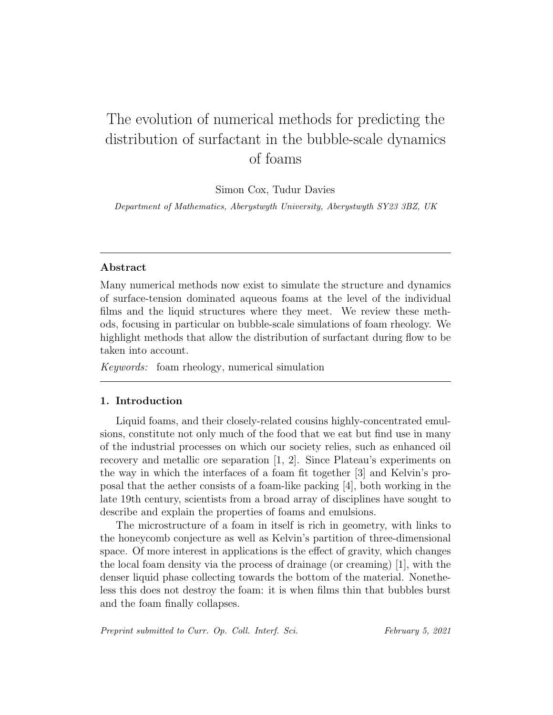# The evolution of numerical methods for predicting the distribution of surfactant in the bubble-scale dynamics of foams

Simon Cox, Tudur Davies

Department of Mathematics, Aberystwyth University, Aberystwyth SY23 3BZ, UK

## Abstract

Many numerical methods now exist to simulate the structure and dynamics of surface-tension dominated aqueous foams at the level of the individual films and the liquid structures where they meet. We review these methods, focusing in particular on bubble-scale simulations of foam rheology. We highlight methods that allow the distribution of surfactant during flow to be taken into account.

Keywords: foam rheology, numerical simulation

### 1. Introduction

Liquid foams, and their closely-related cousins highly-concentrated emulsions, constitute not only much of the food that we eat but find use in many of the industrial processes on which our society relies, such as enhanced oil recovery and metallic ore separation [1, 2]. Since Plateau's experiments on the way in which the interfaces of a foam fit together [3] and Kelvin's proposal that the aether consists of a foam-like packing [4], both working in the late 19th century, scientists from a broad array of disciplines have sought to describe and explain the properties of foams and emulsions.

The microstructure of a foam in itself is rich in geometry, with links to the honeycomb conjecture as well as Kelvin's partition of three-dimensional space. Of more interest in applications is the effect of gravity, which changes the local foam density via the process of drainage (or creaming) [1], with the denser liquid phase collecting towards the bottom of the material. Nonetheless this does not destroy the foam: it is when films thin that bubbles burst and the foam finally collapses.

Preprint submitted to Curr. Op. Coll. Interf. Sci. February 5, 2021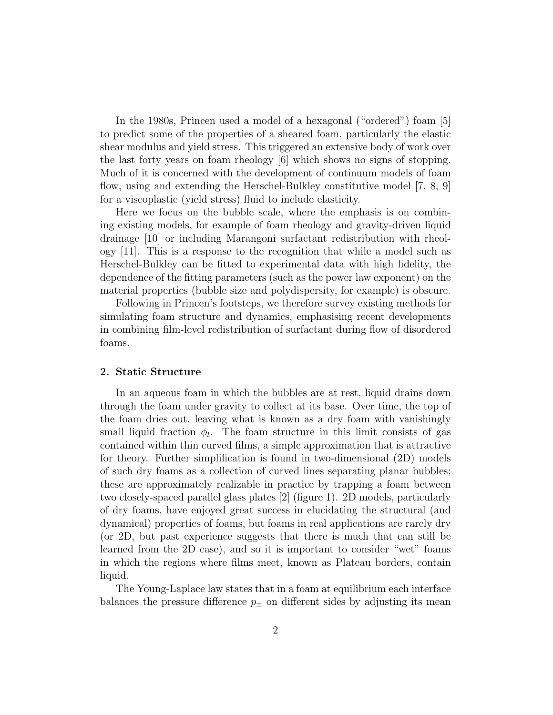In the 1980s, Princen used a model of a hexagonal ("ordered") foam [5] to predict some of the properties of a sheared foam, particularly the elastic shear modulus and yield stress. This triggered an extensive body of work over the last forty years on foam rheology [6] which shows no signs of stopping. Much of it is concerned with the development of continuum models of foam flow, using and extending the Herschel-Bulkley constitutive model [7, 8, 9] for a viscoplastic (yield stress) fluid to include elasticity.

Here we focus on the bubble scale, where the emphasis is on combining existing models, for example of foam rheology and gravity-driven liquid drainage [10] or including Marangoni surfactant redistribution with rheology [11]. This is a response to the recognition that while a model such as Herschel-Bulkley can be fitted to experimental data with high fidelity, the dependence of the fitting parameters (such as the power law exponent) on the material properties (bubble size and polydispersity, for example) is obscure.

Following in Princen's footsteps, we therefore survey existing methods for simulating foam structure and dynamics, emphasising recent developments in combining film-level redistribution of surfactant during flow of disordered foams.

#### 2. Static Structure

In an aqueous foam in which the bubbles are at rest, liquid drains down through the foam under gravity to collect at its base. Over time, the top of the foam dries out, leaving what is known as a dry foam with vanishingly small liquid fraction  $\phi_l$ . The foam structure in this limit consists of gas contained within thin curved films, a simple approximation that is attractive for theory. Further simplification is found in two-dimensional (2D) models of such dry foams as a collection of curved lines separating planar bubbles; these are approximately realizable in practice by trapping a foam between two closely-spaced parallel glass plates [2] (figure 1). 2D models, particularly of dry foams, have enjoyed great success in elucidating the structural (and dynamical) properties of foams, but foams in real applications are rarely dry (or 2D, but past experience suggests that there is much that can still be learned from the 2D case), and so it is important to consider "wet" foams in which the regions where films meet, known as Plateau borders, contain liquid.

The Young-Laplace law states that in a foam at equilibrium each interface balances the pressure difference  $p_{\pm}$  on different sides by adjusting its mean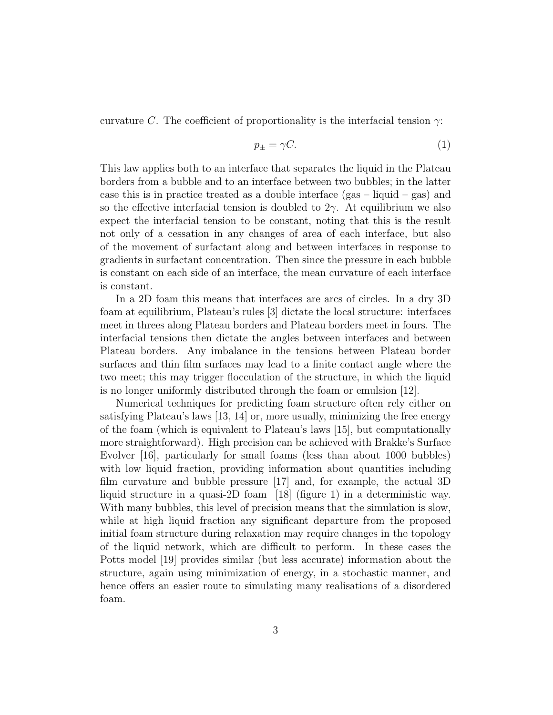curvature C. The coefficient of proportionality is the interfacial tension  $\gamma$ :

$$
p_{\pm} = \gamma C. \tag{1}
$$

This law applies both to an interface that separates the liquid in the Plateau borders from a bubble and to an interface between two bubbles; in the latter case this is in practice treated as a double interface  $(gas - liquid - gas)$  and so the effective interfacial tension is doubled to  $2\gamma$ . At equilibrium we also expect the interfacial tension to be constant, noting that this is the result not only of a cessation in any changes of area of each interface, but also of the movement of surfactant along and between interfaces in response to gradients in surfactant concentration. Then since the pressure in each bubble is constant on each side of an interface, the mean curvature of each interface is constant.

In a 2D foam this means that interfaces are arcs of circles. In a dry 3D foam at equilibrium, Plateau's rules [3] dictate the local structure: interfaces meet in threes along Plateau borders and Plateau borders meet in fours. The interfacial tensions then dictate the angles between interfaces and between Plateau borders. Any imbalance in the tensions between Plateau border surfaces and thin film surfaces may lead to a finite contact angle where the two meet; this may trigger flocculation of the structure, in which the liquid is no longer uniformly distributed through the foam or emulsion [12].

Numerical techniques for predicting foam structure often rely either on satisfying Plateau's laws [13, 14] or, more usually, minimizing the free energy of the foam (which is equivalent to Plateau's laws [15], but computationally more straightforward). High precision can be achieved with Brakke's Surface Evolver [16], particularly for small foams (less than about 1000 bubbles) with low liquid fraction, providing information about quantities including film curvature and bubble pressure [17] and, for example, the actual 3D liquid structure in a quasi-2D foam [18] (figure 1) in a deterministic way. With many bubbles, this level of precision means that the simulation is slow, while at high liquid fraction any significant departure from the proposed initial foam structure during relaxation may require changes in the topology of the liquid network, which are difficult to perform. In these cases the Potts model [19] provides similar (but less accurate) information about the structure, again using minimization of energy, in a stochastic manner, and hence offers an easier route to simulating many realisations of a disordered foam.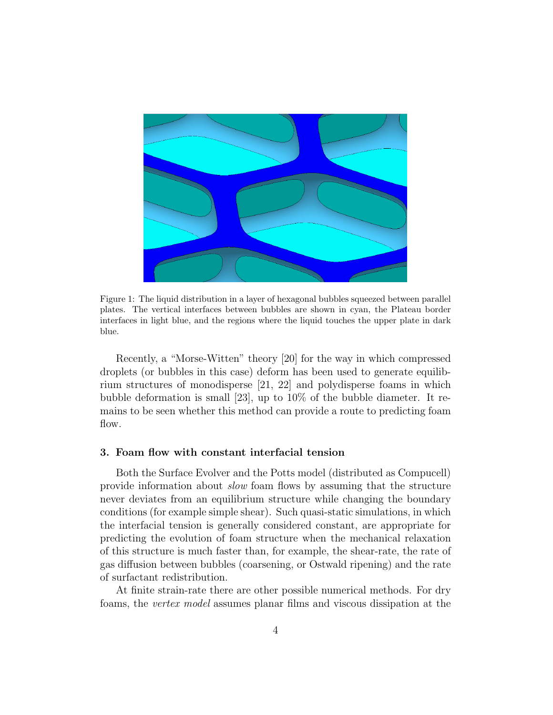

Figure 1: The liquid distribution in a layer of hexagonal bubbles squeezed between parallel plates. The vertical interfaces between bubbles are shown in cyan, the Plateau border interfaces in light blue, and the regions where the liquid touches the upper plate in dark blue.

Recently, a "Morse-Witten" theory [20] for the way in which compressed droplets (or bubbles in this case) deform has been used to generate equilibrium structures of monodisperse [21, 22] and polydisperse foams in which bubble deformation is small [23], up to 10% of the bubble diameter. It remains to be seen whether this method can provide a route to predicting foam flow.

#### 3. Foam flow with constant interfacial tension

Both the Surface Evolver and the Potts model (distributed as Compucell) provide information about slow foam flows by assuming that the structure never deviates from an equilibrium structure while changing the boundary conditions (for example simple shear). Such quasi-static simulations, in which the interfacial tension is generally considered constant, are appropriate for predicting the evolution of foam structure when the mechanical relaxation of this structure is much faster than, for example, the shear-rate, the rate of gas diffusion between bubbles (coarsening, or Ostwald ripening) and the rate of surfactant redistribution.

At finite strain-rate there are other possible numerical methods. For dry foams, the vertex model assumes planar films and viscous dissipation at the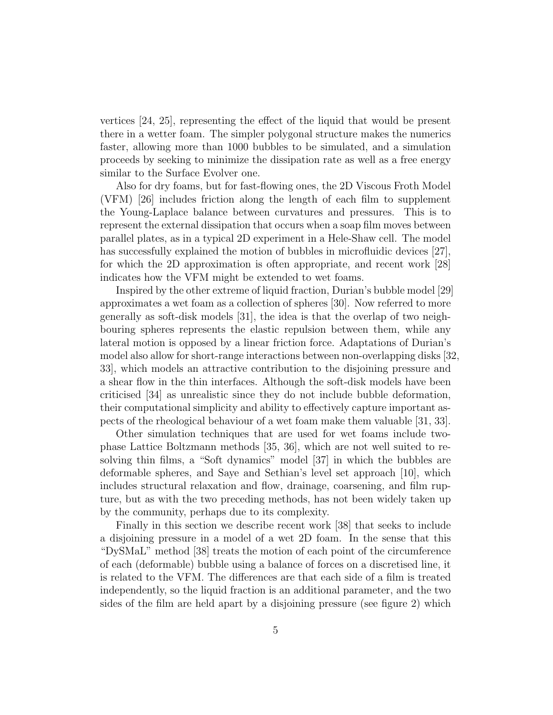vertices [24, 25], representing the effect of the liquid that would be present there in a wetter foam. The simpler polygonal structure makes the numerics faster, allowing more than 1000 bubbles to be simulated, and a simulation proceeds by seeking to minimize the dissipation rate as well as a free energy similar to the Surface Evolver one.

Also for dry foams, but for fast-flowing ones, the 2D Viscous Froth Model (VFM) [26] includes friction along the length of each film to supplement the Young-Laplace balance between curvatures and pressures. This is to represent the external dissipation that occurs when a soap film moves between parallel plates, as in a typical 2D experiment in a Hele-Shaw cell. The model has successfully explained the motion of bubbles in microfluidic devices [27], for which the 2D approximation is often appropriate, and recent work [28] indicates how the VFM might be extended to wet foams.

Inspired by the other extreme of liquid fraction, Durian's bubble model [29] approximates a wet foam as a collection of spheres [30]. Now referred to more generally as soft-disk models [31], the idea is that the overlap of two neighbouring spheres represents the elastic repulsion between them, while any lateral motion is opposed by a linear friction force. Adaptations of Durian's model also allow for short-range interactions between non-overlapping disks [32, 33], which models an attractive contribution to the disjoining pressure and a shear flow in the thin interfaces. Although the soft-disk models have been criticised [34] as unrealistic since they do not include bubble deformation, their computational simplicity and ability to effectively capture important aspects of the rheological behaviour of a wet foam make them valuable [31, 33].

Other simulation techniques that are used for wet foams include twophase Lattice Boltzmann methods [35, 36], which are not well suited to resolving thin films, a "Soft dynamics" model [37] in which the bubbles are deformable spheres, and Saye and Sethian's level set approach [10], which includes structural relaxation and flow, drainage, coarsening, and film rupture, but as with the two preceding methods, has not been widely taken up by the community, perhaps due to its complexity.

Finally in this section we describe recent work [38] that seeks to include a disjoining pressure in a model of a wet 2D foam. In the sense that this "DySMaL" method [38] treats the motion of each point of the circumference of each (deformable) bubble using a balance of forces on a discretised line, it is related to the VFM. The differences are that each side of a film is treated independently, so the liquid fraction is an additional parameter, and the two sides of the film are held apart by a disjoining pressure (see figure 2) which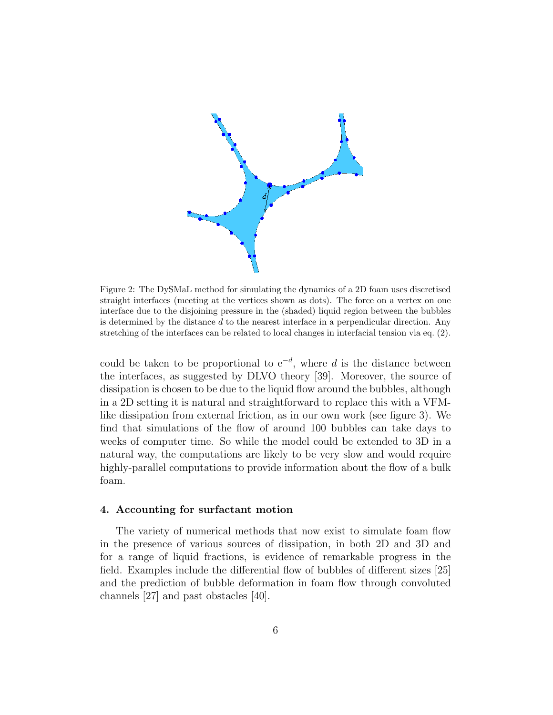

Figure 2: The DySMaL method for simulating the dynamics of a 2D foam uses discretised straight interfaces (meeting at the vertices shown as dots). The force on a vertex on one interface due to the disjoining pressure in the (shaded) liquid region between the bubbles is determined by the distance  $d$  to the nearest interface in a perpendicular direction. Any stretching of the interfaces can be related to local changes in interfacial tension via eq. (2).

could be taken to be proportional to  $e^{-d}$ , where d is the distance between the interfaces, as suggested by DLVO theory [39]. Moreover, the source of dissipation is chosen to be due to the liquid flow around the bubbles, although in a 2D setting it is natural and straightforward to replace this with a VFMlike dissipation from external friction, as in our own work (see figure 3). We find that simulations of the flow of around 100 bubbles can take days to weeks of computer time. So while the model could be extended to 3D in a natural way, the computations are likely to be very slow and would require highly-parallel computations to provide information about the flow of a bulk foam.

#### 4. Accounting for surfactant motion

The variety of numerical methods that now exist to simulate foam flow in the presence of various sources of dissipation, in both 2D and 3D and for a range of liquid fractions, is evidence of remarkable progress in the field. Examples include the differential flow of bubbles of different sizes [25] and the prediction of bubble deformation in foam flow through convoluted channels [27] and past obstacles [40].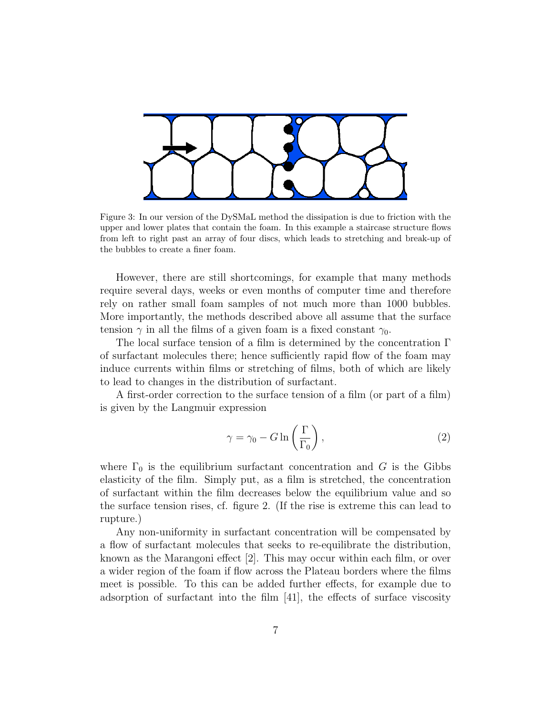

Figure 3: In our version of the DySMaL method the dissipation is due to friction with the upper and lower plates that contain the foam. In this example a staircase structure flows from left to right past an array of four discs, which leads to stretching and break-up of the bubbles to create a finer foam.

However, there are still shortcomings, for example that many methods require several days, weeks or even months of computer time and therefore rely on rather small foam samples of not much more than 1000 bubbles. More importantly, the methods described above all assume that the surface tension  $\gamma$  in all the films of a given foam is a fixed constant  $\gamma_0$ .

The local surface tension of a film is determined by the concentration Γ of surfactant molecules there; hence sufficiently rapid flow of the foam may induce currents within films or stretching of films, both of which are likely to lead to changes in the distribution of surfactant.

A first-order correction to the surface tension of a film (or part of a film) is given by the Langmuir expression

$$
\gamma = \gamma_0 - G \ln \left( \frac{\Gamma}{\Gamma_0} \right),\tag{2}
$$

where  $\Gamma_0$  is the equilibrium surfactant concentration and G is the Gibbs elasticity of the film. Simply put, as a film is stretched, the concentration of surfactant within the film decreases below the equilibrium value and so the surface tension rises, cf. figure 2. (If the rise is extreme this can lead to rupture.)

Any non-uniformity in surfactant concentration will be compensated by a flow of surfactant molecules that seeks to re-equilibrate the distribution, known as the Marangoni effect [2]. This may occur within each film, or over a wider region of the foam if flow across the Plateau borders where the films meet is possible. To this can be added further effects, for example due to adsorption of surfactant into the film [41], the effects of surface viscosity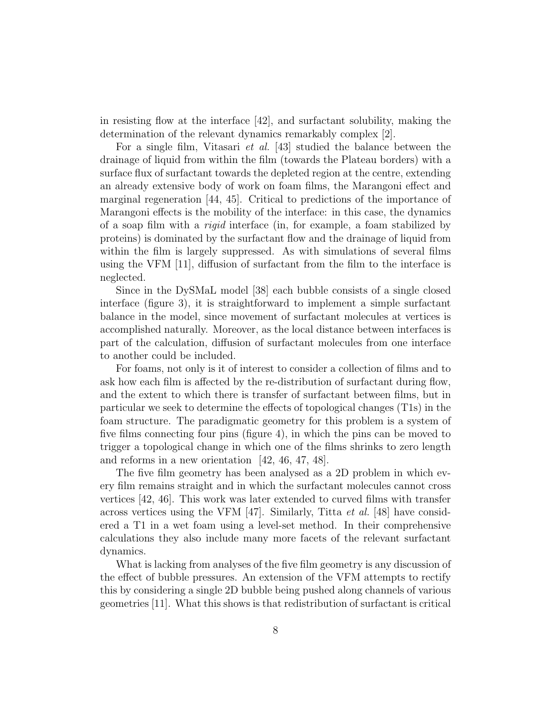in resisting flow at the interface [42], and surfactant solubility, making the determination of the relevant dynamics remarkably complex [2].

For a single film, Vitasari et al. [43] studied the balance between the drainage of liquid from within the film (towards the Plateau borders) with a surface flux of surfactant towards the depleted region at the centre, extending an already extensive body of work on foam films, the Marangoni effect and marginal regeneration [44, 45]. Critical to predictions of the importance of Marangoni effects is the mobility of the interface: in this case, the dynamics of a soap film with a rigid interface (in, for example, a foam stabilized by proteins) is dominated by the surfactant flow and the drainage of liquid from within the film is largely suppressed. As with simulations of several films using the VFM [11], diffusion of surfactant from the film to the interface is neglected.

Since in the DySMaL model [38] each bubble consists of a single closed interface (figure 3), it is straightforward to implement a simple surfactant balance in the model, since movement of surfactant molecules at vertices is accomplished naturally. Moreover, as the local distance between interfaces is part of the calculation, diffusion of surfactant molecules from one interface to another could be included.

For foams, not only is it of interest to consider a collection of films and to ask how each film is affected by the re-distribution of surfactant during flow, and the extent to which there is transfer of surfactant between films, but in particular we seek to determine the effects of topological changes (T1s) in the foam structure. The paradigmatic geometry for this problem is a system of five films connecting four pins (figure 4), in which the pins can be moved to trigger a topological change in which one of the films shrinks to zero length and reforms in a new orientation [42, 46, 47, 48].

The five film geometry has been analysed as a 2D problem in which every film remains straight and in which the surfactant molecules cannot cross vertices [42, 46]. This work was later extended to curved films with transfer across vertices using the VFM [47]. Similarly, Titta *et al.* [48] have considered a T1 in a wet foam using a level-set method. In their comprehensive calculations they also include many more facets of the relevant surfactant dynamics.

What is lacking from analyses of the five film geometry is any discussion of the effect of bubble pressures. An extension of the VFM attempts to rectify this by considering a single 2D bubble being pushed along channels of various geometries [11]. What this shows is that redistribution of surfactant is critical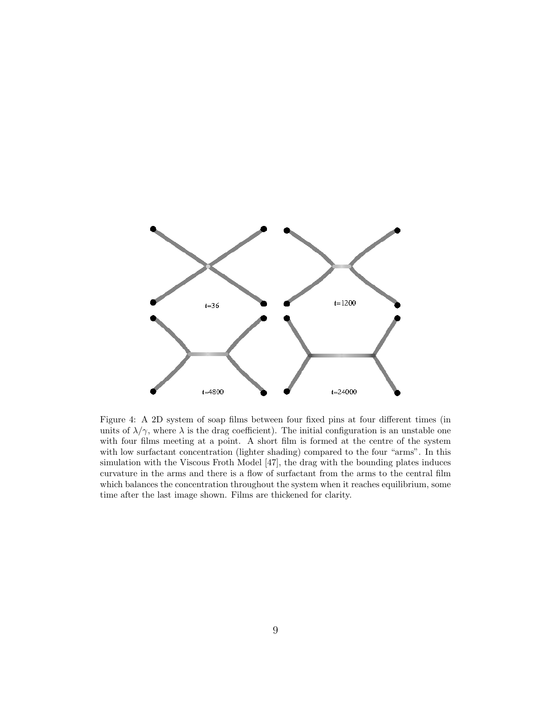

Figure 4: A 2D system of soap films between four fixed pins at four different times (in units of  $\lambda/\gamma$ , where  $\lambda$  is the drag coefficient). The initial configuration is an unstable one with four films meeting at a point. A short film is formed at the centre of the system with low surfactant concentration (lighter shading) compared to the four "arms". In this simulation with the Viscous Froth Model [47], the drag with the bounding plates induces curvature in the arms and there is a flow of surfactant from the arms to the central film which balances the concentration throughout the system when it reaches equilibrium, some time after the last image shown. Films are thickened for clarity.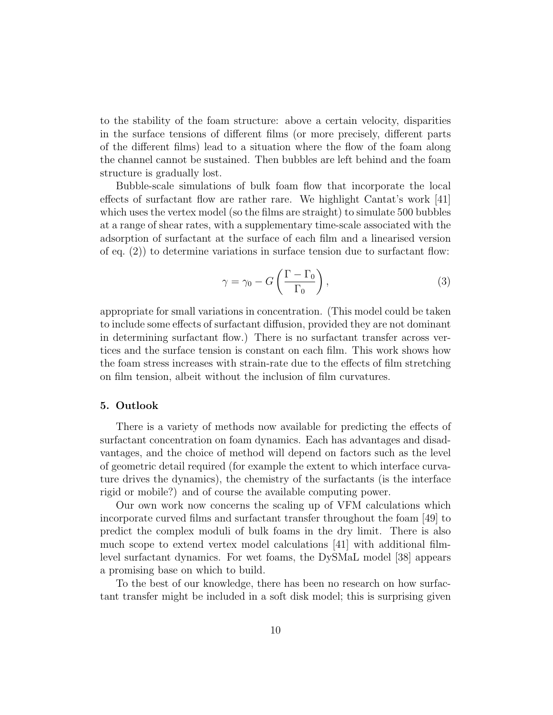to the stability of the foam structure: above a certain velocity, disparities in the surface tensions of different films (or more precisely, different parts of the different films) lead to a situation where the flow of the foam along the channel cannot be sustained. Then bubbles are left behind and the foam structure is gradually lost.

Bubble-scale simulations of bulk foam flow that incorporate the local effects of surfactant flow are rather rare. We highlight Cantat's work [41] which uses the vertex model (so the films are straight) to simulate 500 bubbles at a range of shear rates, with a supplementary time-scale associated with the adsorption of surfactant at the surface of each film and a linearised version of eq. (2)) to determine variations in surface tension due to surfactant flow:

$$
\gamma = \gamma_0 - G\left(\frac{\Gamma - \Gamma_0}{\Gamma_0}\right),\tag{3}
$$

appropriate for small variations in concentration. (This model could be taken to include some effects of surfactant diffusion, provided they are not dominant in determining surfactant flow.) There is no surfactant transfer across vertices and the surface tension is constant on each film. This work shows how the foam stress increases with strain-rate due to the effects of film stretching on film tension, albeit without the inclusion of film curvatures.

#### 5. Outlook

There is a variety of methods now available for predicting the effects of surfactant concentration on foam dynamics. Each has advantages and disadvantages, and the choice of method will depend on factors such as the level of geometric detail required (for example the extent to which interface curvature drives the dynamics), the chemistry of the surfactants (is the interface rigid or mobile?) and of course the available computing power.

Our own work now concerns the scaling up of VFM calculations which incorporate curved films and surfactant transfer throughout the foam [49] to predict the complex moduli of bulk foams in the dry limit. There is also much scope to extend vertex model calculations [41] with additional filmlevel surfactant dynamics. For wet foams, the DySMaL model [38] appears a promising base on which to build.

To the best of our knowledge, there has been no research on how surfactant transfer might be included in a soft disk model; this is surprising given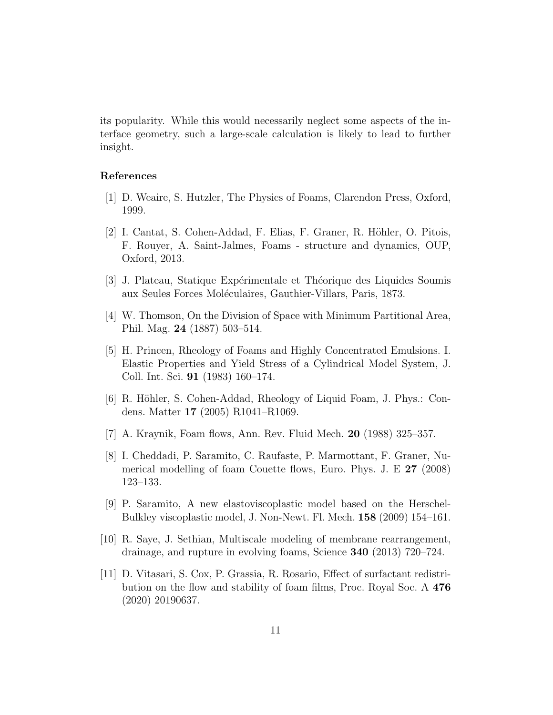its popularity. While this would necessarily neglect some aspects of the interface geometry, such a large-scale calculation is likely to lead to further insight.

#### References

- [1] D. Weaire, S. Hutzler, The Physics of Foams, Clarendon Press, Oxford, 1999.
- [2] I. Cantat, S. Cohen-Addad, F. Elias, F. Graner, R. Höhler, O. Pitois, F. Rouyer, A. Saint-Jalmes, Foams - structure and dynamics, OUP, Oxford, 2013.
- [3] J. Plateau, Statique Expérimentale et Théorique des Liquides Soumis aux Seules Forces Moléculaires, Gauthier-Villars, Paris, 1873.
- [4] W. Thomson, On the Division of Space with Minimum Partitional Area, Phil. Mag. 24 (1887) 503–514.
- [5] H. Princen, Rheology of Foams and Highly Concentrated Emulsions. I. Elastic Properties and Yield Stress of a Cylindrical Model System, J. Coll. Int. Sci. 91 (1983) 160–174.
- [6] R. Höhler, S. Cohen-Addad, Rheology of Liquid Foam, J. Phys.: Condens. Matter 17 (2005) R1041–R1069.
- [7] A. Kraynik, Foam flows, Ann. Rev. Fluid Mech. 20 (1988) 325–357.
- [8] I. Cheddadi, P. Saramito, C. Raufaste, P. Marmottant, F. Graner, Numerical modelling of foam Couette flows, Euro. Phys. J. E 27 (2008) 123–133.
- [9] P. Saramito, A new elastoviscoplastic model based on the Herschel-Bulkley viscoplastic model, J. Non-Newt. Fl. Mech. 158 (2009) 154–161.
- [10] R. Saye, J. Sethian, Multiscale modeling of membrane rearrangement, drainage, and rupture in evolving foams, Science 340 (2013) 720–724.
- [11] D. Vitasari, S. Cox, P. Grassia, R. Rosario, Effect of surfactant redistribution on the flow and stability of foam films, Proc. Royal Soc. A 476 (2020) 20190637.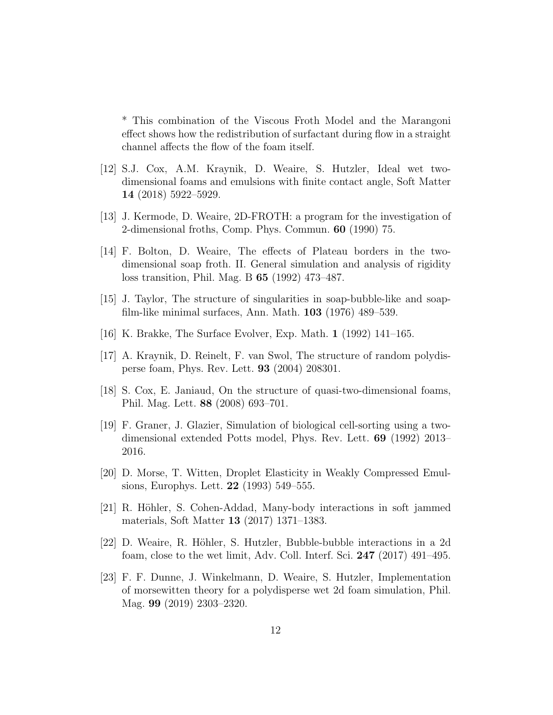\* This combination of the Viscous Froth Model and the Marangoni effect shows how the redistribution of surfactant during flow in a straight channel affects the flow of the foam itself.

- [12] S.J. Cox, A.M. Kraynik, D. Weaire, S. Hutzler, Ideal wet twodimensional foams and emulsions with finite contact angle, Soft Matter 14 (2018) 5922–5929.
- [13] J. Kermode, D. Weaire, 2D-FROTH: a program for the investigation of 2-dimensional froths, Comp. Phys. Commun. 60 (1990) 75.
- [14] F. Bolton, D. Weaire, The effects of Plateau borders in the twodimensional soap froth. II. General simulation and analysis of rigidity loss transition, Phil. Mag. B 65 (1992) 473–487.
- [15] J. Taylor, The structure of singularities in soap-bubble-like and soapfilm-like minimal surfaces, Ann. Math. 103 (1976) 489–539.
- [16] K. Brakke, The Surface Evolver, Exp. Math. 1 (1992) 141–165.
- [17] A. Kraynik, D. Reinelt, F. van Swol, The structure of random polydisperse foam, Phys. Rev. Lett. 93 (2004) 208301.
- [18] S. Cox, E. Janiaud, On the structure of quasi-two-dimensional foams, Phil. Mag. Lett. 88 (2008) 693–701.
- [19] F. Graner, J. Glazier, Simulation of biological cell-sorting using a twodimensional extended Potts model, Phys. Rev. Lett. 69 (1992) 2013– 2016.
- [20] D. Morse, T. Witten, Droplet Elasticity in Weakly Compressed Emulsions, Europhys. Lett. 22 (1993) 549–555.
- [21] R. Höhler, S. Cohen-Addad, Many-body interactions in soft jammed materials, Soft Matter 13 (2017) 1371–1383.
- [22] D. Weaire, R. Höhler, S. Hutzler, Bubble-bubble interactions in a 2d foam, close to the wet limit, Adv. Coll. Interf. Sci. 247 (2017) 491–495.
- [23] F. F. Dunne, J. Winkelmann, D. Weaire, S. Hutzler, Implementation of morsewitten theory for a polydisperse wet 2d foam simulation, Phil. Mag. 99 (2019) 2303–2320.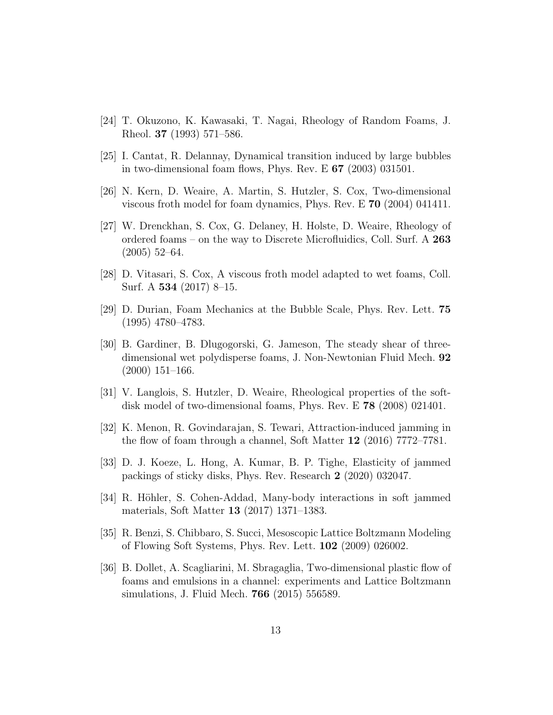- [24] T. Okuzono, K. Kawasaki, T. Nagai, Rheology of Random Foams, J. Rheol. 37 (1993) 571–586.
- [25] I. Cantat, R. Delannay, Dynamical transition induced by large bubbles in two-dimensional foam flows, Phys. Rev. E 67 (2003) 031501.
- [26] N. Kern, D. Weaire, A. Martin, S. Hutzler, S. Cox, Two-dimensional viscous froth model for foam dynamics, Phys. Rev. E 70 (2004) 041411.
- [27] W. Drenckhan, S. Cox, G. Delaney, H. Holste, D. Weaire, Rheology of ordered foams – on the way to Discrete Microfluidics, Coll. Surf. A 263 (2005) 52–64.
- [28] D. Vitasari, S. Cox, A viscous froth model adapted to wet foams, Coll. Surf. A 534 (2017) 8–15.
- [29] D. Durian, Foam Mechanics at the Bubble Scale, Phys. Rev. Lett. 75 (1995) 4780–4783.
- [30] B. Gardiner, B. Dlugogorski, G. Jameson, The steady shear of threedimensional wet polydisperse foams, J. Non-Newtonian Fluid Mech. 92 (2000) 151–166.
- [31] V. Langlois, S. Hutzler, D. Weaire, Rheological properties of the softdisk model of two-dimensional foams, Phys. Rev. E 78 (2008) 021401.
- [32] K. Menon, R. Govindarajan, S. Tewari, Attraction-induced jamming in the flow of foam through a channel, Soft Matter 12 (2016) 7772–7781.
- [33] D. J. Koeze, L. Hong, A. Kumar, B. P. Tighe, Elasticity of jammed packings of sticky disks, Phys. Rev. Research 2 (2020) 032047.
- [34] R. Höhler, S. Cohen-Addad, Many-body interactions in soft jammed materials, Soft Matter 13 (2017) 1371–1383.
- [35] R. Benzi, S. Chibbaro, S. Succi, Mesoscopic Lattice Boltzmann Modeling of Flowing Soft Systems, Phys. Rev. Lett. 102 (2009) 026002.
- [36] B. Dollet, A. Scagliarini, M. Sbragaglia, Two-dimensional plastic flow of foams and emulsions in a channel: experiments and Lattice Boltzmann simulations, J. Fluid Mech. 766 (2015) 556589.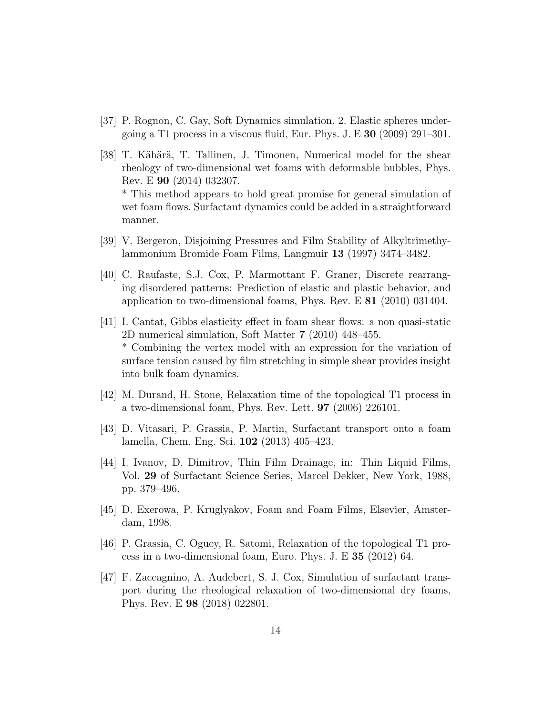- [37] P. Rognon, C. Gay, Soft Dynamics simulation. 2. Elastic spheres undergoing a T1 process in a viscous fluid, Eur. Phys. J. E 30 (2009) 291–301.
- [38] T. Kähärä, T. Tallinen, J. Timonen, Numerical model for the shear rheology of two-dimensional wet foams with deformable bubbles, Phys. Rev. E 90 (2014) 032307. \* This method appears to hold great promise for general simulation of wet foam flows. Surfactant dynamics could be added in a straightforward
- [39] V. Bergeron, Disjoining Pressures and Film Stability of Alkyltrimethylammonium Bromide Foam Films, Langmuir 13 (1997) 3474–3482.

manner.

- [40] C. Raufaste, S.J. Cox, P. Marmottant F. Graner, Discrete rearranging disordered patterns: Prediction of elastic and plastic behavior, and application to two-dimensional foams, Phys. Rev. E 81 (2010) 031404.
- [41] I. Cantat, Gibbs elasticity effect in foam shear flows: a non quasi-static 2D numerical simulation, Soft Matter 7 (2010) 448–455. \* Combining the vertex model with an expression for the variation of surface tension caused by film stretching in simple shear provides insight into bulk foam dynamics.
- [42] M. Durand, H. Stone, Relaxation time of the topological T1 process in a two-dimensional foam, Phys. Rev. Lett. 97 (2006) 226101.
- [43] D. Vitasari, P. Grassia, P. Martin, Surfactant transport onto a foam lamella, Chem. Eng. Sci. 102 (2013) 405–423.
- [44] I. Ivanov, D. Dimitrov, Thin Film Drainage, in: Thin Liquid Films, Vol. 29 of Surfactant Science Series, Marcel Dekker, New York, 1988, pp. 379–496.
- [45] D. Exerowa, P. Kruglyakov, Foam and Foam Films, Elsevier, Amsterdam, 1998.
- [46] P. Grassia, C. Oguey, R. Satomi, Relaxation of the topological T1 process in a two-dimensional foam, Euro. Phys. J. E 35 (2012) 64.
- [47] F. Zaccagnino, A. Audebert, S. J. Cox, Simulation of surfactant transport during the rheological relaxation of two-dimensional dry foams, Phys. Rev. E 98 (2018) 022801.